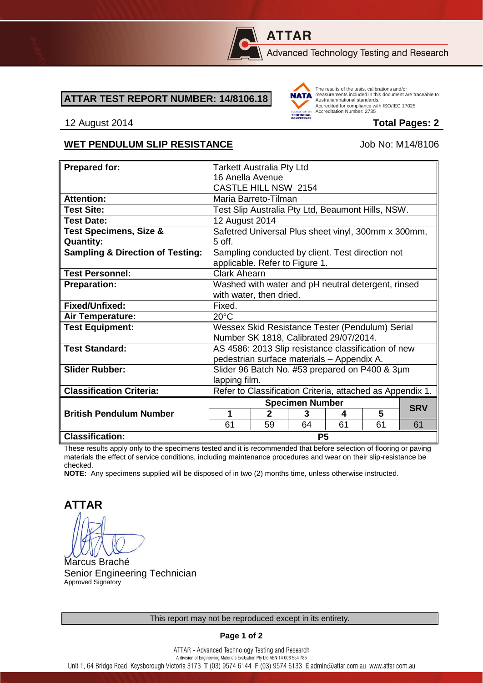

# **ATTAR**

Advanced Technology Testing and Research

#### **ATTAR TEST REPORT NUMBER: 14/8106.18**



The results of the tests, calibrations and/or measurements included in this document are traceable to Australian/national standards. Adstrational Miditional Standards:<br>Accredited for compliance with ISO/IEC 17025. Accreditation Number: 2735

#### 12 August 2014 **Total Pages: 2**

#### WET PENDULUM SLIP RESISTANCE Job No: M14/8106

| <b>Prepared for:</b>                        | <b>Tarkett Australia Pty Ltd</b>                                                   |              |    |    |    |            |
|---------------------------------------------|------------------------------------------------------------------------------------|--------------|----|----|----|------------|
|                                             | 16 Anella Avenue                                                                   |              |    |    |    |            |
|                                             | CASTLE HILL NSW 2154                                                               |              |    |    |    |            |
| <b>Attention:</b>                           | Maria Barreto-Tilman                                                               |              |    |    |    |            |
| <b>Test Site:</b>                           | Test Slip Australia Pty Ltd, Beaumont Hills, NSW.                                  |              |    |    |    |            |
| <b>Test Date:</b>                           | 12 August 2014                                                                     |              |    |    |    |            |
| <b>Test Specimens, Size &amp;</b>           | Safetred Universal Plus sheet vinyl, 300mm x 300mm,                                |              |    |    |    |            |
| <b>Quantity:</b>                            | 5 off.                                                                             |              |    |    |    |            |
| <b>Sampling &amp; Direction of Testing:</b> | Sampling conducted by client. Test direction not<br>applicable. Refer to Figure 1. |              |    |    |    |            |
| <b>Test Personnel:</b>                      | <b>Clark Ahearn</b>                                                                |              |    |    |    |            |
| <b>Preparation:</b>                         | Washed with water and pH neutral detergent, rinsed                                 |              |    |    |    |            |
|                                             | with water, then dried.                                                            |              |    |    |    |            |
| Fixed/Unfixed:                              | Fixed.                                                                             |              |    |    |    |            |
| Air Temperature:                            | $20^{\circ}$ C                                                                     |              |    |    |    |            |
| <b>Test Equipment:</b>                      | Wessex Skid Resistance Tester (Pendulum) Serial                                    |              |    |    |    |            |
|                                             | Number SK 1818, Calibrated 29/07/2014.                                             |              |    |    |    |            |
| <b>Test Standard:</b>                       | AS 4586: 2013 Slip resistance classification of new                                |              |    |    |    |            |
|                                             | pedestrian surface materials - Appendix A.                                         |              |    |    |    |            |
| <b>Slider Rubber:</b>                       | Slider 96 Batch No. #53 prepared on P400 & 3µm                                     |              |    |    |    |            |
|                                             | lapping film.                                                                      |              |    |    |    |            |
| <b>Classification Criteria:</b>             | Refer to Classification Criteria, attached as Appendix 1.                          |              |    |    |    |            |
|                                             | <b>Specimen Number</b>                                                             |              |    |    |    | <b>SRV</b> |
| <b>British Pendulum Number</b>              | 1                                                                                  | $\mathbf{2}$ | 3  | 4  | 5  |            |
|                                             | 61                                                                                 | 59           | 64 | 61 | 61 | 61         |
| <b>Classification:</b>                      | <b>P5</b>                                                                          |              |    |    |    |            |

These results apply only to the specimens tested and it is recommended that before selection of flooring or paving materials the effect of service conditions, including maintenance procedures and wear on their slip-resistance be checked.

**NOTE:** Any specimens supplied will be disposed of in two (2) months time, unless otherwise instructed.

**ATTAR**

Marcus Braché Senior Engineering Technician Approved Signatory

**Page 1 of 2**